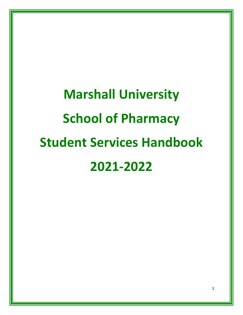# **Marshall University School of Pharmacy Student Services Handbook 2021-2022**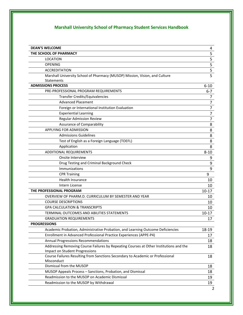# **Marshall University School of Pharmacy Student Services Handbook**

| $\overline{\mathbf{5}}$<br>THE SCHOOL OF PHARMACY<br>$rac{5}{5}$<br>LOCATION<br><b>OPENING</b><br>$\overline{\mathbf{5}}$<br><b>ACCREDITATION</b><br>$\overline{5}$<br>Marshall University School of Pharmacy (MUSOP) Mission, Vision, and Culture<br>Statements<br><b>ADMISSIONS PROCESS</b><br>$6 - 10$<br>PRE-PROFESSIONAL PROGRAM REQUIREMENTS<br>$6 - 7$<br>Transfer Credits/Equivalencies<br>7<br>$\overline{7}$<br><b>Advanced Placement</b><br>$\overline{7}$<br>Foreign or International Institution Evaluation<br>$\overline{7}$<br><b>Experiential Learning</b><br>$\overline{7}$<br><b>Regular Admission Review</b><br>8<br><b>Assurance of Comparability</b><br><b>APPLYING FOR ADMISSION</b><br>8<br>8<br><b>Admissions Guidelines</b><br>8<br>Test of English as a Foreign Language (TOEFL)<br>Application<br>8<br><b>ADDITIONAL REQUIREMENTS</b><br>$8 - 10$<br>Onsite Interview<br>9<br>Drug Testing and Criminal Background Check<br>9<br>9<br>Immunizations<br>9<br><b>CPR Training</b><br><b>Health Insurance</b><br>10<br>Intern License<br>10<br>THE PROFESSIONAL PROGRAM<br>$10 - 17$<br>OVERVIEW OF PHARM.D. CURRICULUM BY SEMESTER AND YEAR<br>10<br><b>COURSE DESCRIPTIONS</b><br>10<br><b>GPA CALCULATION &amp; TRANSCRIPTS</b><br>10<br>TERMINAL OUTCOMES AND ABILITIES STATEMENTS<br>$10 - 17$<br><b>GRADUATION REQUIREMENTS</b><br>17<br><b>PROGRESSIONS</b><br>Academic Probation, Administrative Probation, and Learning Outcome Deficiencies<br>18-19<br>Enrollment in Advanced Professional Practice Experiences (APPE-P4)<br>17<br>Annual Progressions Recommendations<br>18<br>Addressing Removing Course Failures by Repeating Courses at Other Institutions and the<br>18<br>Impact on Student Progressions<br>Course Failures Resulting from Sanctions Secondary to Academic or Professional<br>18<br>Misconduct<br>Dismissal from the MUSOP<br>18<br>MUSOP Appeals Process - Sanctions, Probation, and Dismissal<br>18<br>Readmission to the MUSOP on Academic Dismissal<br>19<br>Readmission to the MUSOP by Withdrawal<br>19 | <b>DEAN'S WELCOME</b> | 4 |
|------------------------------------------------------------------------------------------------------------------------------------------------------------------------------------------------------------------------------------------------------------------------------------------------------------------------------------------------------------------------------------------------------------------------------------------------------------------------------------------------------------------------------------------------------------------------------------------------------------------------------------------------------------------------------------------------------------------------------------------------------------------------------------------------------------------------------------------------------------------------------------------------------------------------------------------------------------------------------------------------------------------------------------------------------------------------------------------------------------------------------------------------------------------------------------------------------------------------------------------------------------------------------------------------------------------------------------------------------------------------------------------------------------------------------------------------------------------------------------------------------------------------------------------------------------------------------------------------------------------------------------------------------------------------------------------------------------------------------------------------------------------------------------------------------------------------------------------------------------------------------------------------------------------------------------------------------------------------------------------------------------------------------------------------------------------------|-----------------------|---|
|                                                                                                                                                                                                                                                                                                                                                                                                                                                                                                                                                                                                                                                                                                                                                                                                                                                                                                                                                                                                                                                                                                                                                                                                                                                                                                                                                                                                                                                                                                                                                                                                                                                                                                                                                                                                                                                                                                                                                                                                                                                                        |                       |   |
|                                                                                                                                                                                                                                                                                                                                                                                                                                                                                                                                                                                                                                                                                                                                                                                                                                                                                                                                                                                                                                                                                                                                                                                                                                                                                                                                                                                                                                                                                                                                                                                                                                                                                                                                                                                                                                                                                                                                                                                                                                                                        |                       |   |
|                                                                                                                                                                                                                                                                                                                                                                                                                                                                                                                                                                                                                                                                                                                                                                                                                                                                                                                                                                                                                                                                                                                                                                                                                                                                                                                                                                                                                                                                                                                                                                                                                                                                                                                                                                                                                                                                                                                                                                                                                                                                        |                       |   |
|                                                                                                                                                                                                                                                                                                                                                                                                                                                                                                                                                                                                                                                                                                                                                                                                                                                                                                                                                                                                                                                                                                                                                                                                                                                                                                                                                                                                                                                                                                                                                                                                                                                                                                                                                                                                                                                                                                                                                                                                                                                                        |                       |   |
|                                                                                                                                                                                                                                                                                                                                                                                                                                                                                                                                                                                                                                                                                                                                                                                                                                                                                                                                                                                                                                                                                                                                                                                                                                                                                                                                                                                                                                                                                                                                                                                                                                                                                                                                                                                                                                                                                                                                                                                                                                                                        |                       |   |
|                                                                                                                                                                                                                                                                                                                                                                                                                                                                                                                                                                                                                                                                                                                                                                                                                                                                                                                                                                                                                                                                                                                                                                                                                                                                                                                                                                                                                                                                                                                                                                                                                                                                                                                                                                                                                                                                                                                                                                                                                                                                        |                       |   |
|                                                                                                                                                                                                                                                                                                                                                                                                                                                                                                                                                                                                                                                                                                                                                                                                                                                                                                                                                                                                                                                                                                                                                                                                                                                                                                                                                                                                                                                                                                                                                                                                                                                                                                                                                                                                                                                                                                                                                                                                                                                                        |                       |   |
|                                                                                                                                                                                                                                                                                                                                                                                                                                                                                                                                                                                                                                                                                                                                                                                                                                                                                                                                                                                                                                                                                                                                                                                                                                                                                                                                                                                                                                                                                                                                                                                                                                                                                                                                                                                                                                                                                                                                                                                                                                                                        |                       |   |
|                                                                                                                                                                                                                                                                                                                                                                                                                                                                                                                                                                                                                                                                                                                                                                                                                                                                                                                                                                                                                                                                                                                                                                                                                                                                                                                                                                                                                                                                                                                                                                                                                                                                                                                                                                                                                                                                                                                                                                                                                                                                        |                       |   |
|                                                                                                                                                                                                                                                                                                                                                                                                                                                                                                                                                                                                                                                                                                                                                                                                                                                                                                                                                                                                                                                                                                                                                                                                                                                                                                                                                                                                                                                                                                                                                                                                                                                                                                                                                                                                                                                                                                                                                                                                                                                                        |                       |   |
|                                                                                                                                                                                                                                                                                                                                                                                                                                                                                                                                                                                                                                                                                                                                                                                                                                                                                                                                                                                                                                                                                                                                                                                                                                                                                                                                                                                                                                                                                                                                                                                                                                                                                                                                                                                                                                                                                                                                                                                                                                                                        |                       |   |
|                                                                                                                                                                                                                                                                                                                                                                                                                                                                                                                                                                                                                                                                                                                                                                                                                                                                                                                                                                                                                                                                                                                                                                                                                                                                                                                                                                                                                                                                                                                                                                                                                                                                                                                                                                                                                                                                                                                                                                                                                                                                        |                       |   |
|                                                                                                                                                                                                                                                                                                                                                                                                                                                                                                                                                                                                                                                                                                                                                                                                                                                                                                                                                                                                                                                                                                                                                                                                                                                                                                                                                                                                                                                                                                                                                                                                                                                                                                                                                                                                                                                                                                                                                                                                                                                                        |                       |   |
|                                                                                                                                                                                                                                                                                                                                                                                                                                                                                                                                                                                                                                                                                                                                                                                                                                                                                                                                                                                                                                                                                                                                                                                                                                                                                                                                                                                                                                                                                                                                                                                                                                                                                                                                                                                                                                                                                                                                                                                                                                                                        |                       |   |
|                                                                                                                                                                                                                                                                                                                                                                                                                                                                                                                                                                                                                                                                                                                                                                                                                                                                                                                                                                                                                                                                                                                                                                                                                                                                                                                                                                                                                                                                                                                                                                                                                                                                                                                                                                                                                                                                                                                                                                                                                                                                        |                       |   |
|                                                                                                                                                                                                                                                                                                                                                                                                                                                                                                                                                                                                                                                                                                                                                                                                                                                                                                                                                                                                                                                                                                                                                                                                                                                                                                                                                                                                                                                                                                                                                                                                                                                                                                                                                                                                                                                                                                                                                                                                                                                                        |                       |   |
|                                                                                                                                                                                                                                                                                                                                                                                                                                                                                                                                                                                                                                                                                                                                                                                                                                                                                                                                                                                                                                                                                                                                                                                                                                                                                                                                                                                                                                                                                                                                                                                                                                                                                                                                                                                                                                                                                                                                                                                                                                                                        |                       |   |
|                                                                                                                                                                                                                                                                                                                                                                                                                                                                                                                                                                                                                                                                                                                                                                                                                                                                                                                                                                                                                                                                                                                                                                                                                                                                                                                                                                                                                                                                                                                                                                                                                                                                                                                                                                                                                                                                                                                                                                                                                                                                        |                       |   |
|                                                                                                                                                                                                                                                                                                                                                                                                                                                                                                                                                                                                                                                                                                                                                                                                                                                                                                                                                                                                                                                                                                                                                                                                                                                                                                                                                                                                                                                                                                                                                                                                                                                                                                                                                                                                                                                                                                                                                                                                                                                                        |                       |   |
|                                                                                                                                                                                                                                                                                                                                                                                                                                                                                                                                                                                                                                                                                                                                                                                                                                                                                                                                                                                                                                                                                                                                                                                                                                                                                                                                                                                                                                                                                                                                                                                                                                                                                                                                                                                                                                                                                                                                                                                                                                                                        |                       |   |
|                                                                                                                                                                                                                                                                                                                                                                                                                                                                                                                                                                                                                                                                                                                                                                                                                                                                                                                                                                                                                                                                                                                                                                                                                                                                                                                                                                                                                                                                                                                                                                                                                                                                                                                                                                                                                                                                                                                                                                                                                                                                        |                       |   |
|                                                                                                                                                                                                                                                                                                                                                                                                                                                                                                                                                                                                                                                                                                                                                                                                                                                                                                                                                                                                                                                                                                                                                                                                                                                                                                                                                                                                                                                                                                                                                                                                                                                                                                                                                                                                                                                                                                                                                                                                                                                                        |                       |   |
|                                                                                                                                                                                                                                                                                                                                                                                                                                                                                                                                                                                                                                                                                                                                                                                                                                                                                                                                                                                                                                                                                                                                                                                                                                                                                                                                                                                                                                                                                                                                                                                                                                                                                                                                                                                                                                                                                                                                                                                                                                                                        |                       |   |
|                                                                                                                                                                                                                                                                                                                                                                                                                                                                                                                                                                                                                                                                                                                                                                                                                                                                                                                                                                                                                                                                                                                                                                                                                                                                                                                                                                                                                                                                                                                                                                                                                                                                                                                                                                                                                                                                                                                                                                                                                                                                        |                       |   |
|                                                                                                                                                                                                                                                                                                                                                                                                                                                                                                                                                                                                                                                                                                                                                                                                                                                                                                                                                                                                                                                                                                                                                                                                                                                                                                                                                                                                                                                                                                                                                                                                                                                                                                                                                                                                                                                                                                                                                                                                                                                                        |                       |   |
|                                                                                                                                                                                                                                                                                                                                                                                                                                                                                                                                                                                                                                                                                                                                                                                                                                                                                                                                                                                                                                                                                                                                                                                                                                                                                                                                                                                                                                                                                                                                                                                                                                                                                                                                                                                                                                                                                                                                                                                                                                                                        |                       |   |
|                                                                                                                                                                                                                                                                                                                                                                                                                                                                                                                                                                                                                                                                                                                                                                                                                                                                                                                                                                                                                                                                                                                                                                                                                                                                                                                                                                                                                                                                                                                                                                                                                                                                                                                                                                                                                                                                                                                                                                                                                                                                        |                       |   |
|                                                                                                                                                                                                                                                                                                                                                                                                                                                                                                                                                                                                                                                                                                                                                                                                                                                                                                                                                                                                                                                                                                                                                                                                                                                                                                                                                                                                                                                                                                                                                                                                                                                                                                                                                                                                                                                                                                                                                                                                                                                                        |                       |   |
|                                                                                                                                                                                                                                                                                                                                                                                                                                                                                                                                                                                                                                                                                                                                                                                                                                                                                                                                                                                                                                                                                                                                                                                                                                                                                                                                                                                                                                                                                                                                                                                                                                                                                                                                                                                                                                                                                                                                                                                                                                                                        |                       |   |
|                                                                                                                                                                                                                                                                                                                                                                                                                                                                                                                                                                                                                                                                                                                                                                                                                                                                                                                                                                                                                                                                                                                                                                                                                                                                                                                                                                                                                                                                                                                                                                                                                                                                                                                                                                                                                                                                                                                                                                                                                                                                        |                       |   |
|                                                                                                                                                                                                                                                                                                                                                                                                                                                                                                                                                                                                                                                                                                                                                                                                                                                                                                                                                                                                                                                                                                                                                                                                                                                                                                                                                                                                                                                                                                                                                                                                                                                                                                                                                                                                                                                                                                                                                                                                                                                                        |                       |   |
|                                                                                                                                                                                                                                                                                                                                                                                                                                                                                                                                                                                                                                                                                                                                                                                                                                                                                                                                                                                                                                                                                                                                                                                                                                                                                                                                                                                                                                                                                                                                                                                                                                                                                                                                                                                                                                                                                                                                                                                                                                                                        |                       |   |
|                                                                                                                                                                                                                                                                                                                                                                                                                                                                                                                                                                                                                                                                                                                                                                                                                                                                                                                                                                                                                                                                                                                                                                                                                                                                                                                                                                                                                                                                                                                                                                                                                                                                                                                                                                                                                                                                                                                                                                                                                                                                        |                       |   |
|                                                                                                                                                                                                                                                                                                                                                                                                                                                                                                                                                                                                                                                                                                                                                                                                                                                                                                                                                                                                                                                                                                                                                                                                                                                                                                                                                                                                                                                                                                                                                                                                                                                                                                                                                                                                                                                                                                                                                                                                                                                                        |                       |   |
|                                                                                                                                                                                                                                                                                                                                                                                                                                                                                                                                                                                                                                                                                                                                                                                                                                                                                                                                                                                                                                                                                                                                                                                                                                                                                                                                                                                                                                                                                                                                                                                                                                                                                                                                                                                                                                                                                                                                                                                                                                                                        |                       |   |
|                                                                                                                                                                                                                                                                                                                                                                                                                                                                                                                                                                                                                                                                                                                                                                                                                                                                                                                                                                                                                                                                                                                                                                                                                                                                                                                                                                                                                                                                                                                                                                                                                                                                                                                                                                                                                                                                                                                                                                                                                                                                        |                       |   |
|                                                                                                                                                                                                                                                                                                                                                                                                                                                                                                                                                                                                                                                                                                                                                                                                                                                                                                                                                                                                                                                                                                                                                                                                                                                                                                                                                                                                                                                                                                                                                                                                                                                                                                                                                                                                                                                                                                                                                                                                                                                                        |                       |   |
|                                                                                                                                                                                                                                                                                                                                                                                                                                                                                                                                                                                                                                                                                                                                                                                                                                                                                                                                                                                                                                                                                                                                                                                                                                                                                                                                                                                                                                                                                                                                                                                                                                                                                                                                                                                                                                                                                                                                                                                                                                                                        |                       |   |
|                                                                                                                                                                                                                                                                                                                                                                                                                                                                                                                                                                                                                                                                                                                                                                                                                                                                                                                                                                                                                                                                                                                                                                                                                                                                                                                                                                                                                                                                                                                                                                                                                                                                                                                                                                                                                                                                                                                                                                                                                                                                        |                       |   |
|                                                                                                                                                                                                                                                                                                                                                                                                                                                                                                                                                                                                                                                                                                                                                                                                                                                                                                                                                                                                                                                                                                                                                                                                                                                                                                                                                                                                                                                                                                                                                                                                                                                                                                                                                                                                                                                                                                                                                                                                                                                                        |                       |   |
|                                                                                                                                                                                                                                                                                                                                                                                                                                                                                                                                                                                                                                                                                                                                                                                                                                                                                                                                                                                                                                                                                                                                                                                                                                                                                                                                                                                                                                                                                                                                                                                                                                                                                                                                                                                                                                                                                                                                                                                                                                                                        |                       |   |
|                                                                                                                                                                                                                                                                                                                                                                                                                                                                                                                                                                                                                                                                                                                                                                                                                                                                                                                                                                                                                                                                                                                                                                                                                                                                                                                                                                                                                                                                                                                                                                                                                                                                                                                                                                                                                                                                                                                                                                                                                                                                        |                       |   |
|                                                                                                                                                                                                                                                                                                                                                                                                                                                                                                                                                                                                                                                                                                                                                                                                                                                                                                                                                                                                                                                                                                                                                                                                                                                                                                                                                                                                                                                                                                                                                                                                                                                                                                                                                                                                                                                                                                                                                                                                                                                                        |                       |   |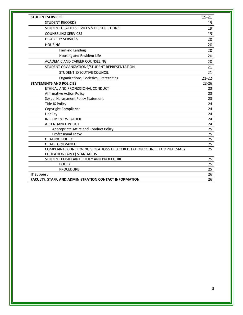| <b>STUDENT SERVICES</b>                                                | $19 - 21$ |
|------------------------------------------------------------------------|-----------|
| <b>STUDENT RECORDS</b>                                                 | 19        |
| STUDENT HEALTH SERVICES & PRESCRIPTIONS                                | 19        |
| <b>COUNSELING SERVICES</b>                                             | 19        |
| <b>DISABILITY SERVICES</b>                                             | 20        |
| <b>HOUSING</b>                                                         | 20        |
| <b>Fairfield Landing</b>                                               | 20        |
| Housing and Resident Life                                              | 20        |
| ACADEMIC AND CAREER COUNSELING                                         | 20        |
| STUDENT ORGANIZATIONS/STUDENT REPRESENTATION                           | 21        |
| STUDENT EXECUTIVE COUNCIL                                              | 21        |
| Organizations, Societies, Fraternities                                 | $21 - 22$ |
| <b>STATEMENTS AND POLICIES</b>                                         | $23 - 26$ |
| ETHICAL AND PROFESSIONAL CONDUCT                                       | 23        |
| <b>Affirmative Action Policy</b>                                       | 23        |
| Sexual Harassment Policy Statement                                     | 23        |
| <b>Title IX Policy</b>                                                 | 24        |
| Copyright Compliance                                                   | 24        |
| Liability                                                              | 24        |
| <b>INCLEMENT WEATHER</b>                                               | 24        |
| <b>ATTENDANCE POLICY</b>                                               | 24        |
| Appropriate Attire and Conduct Policy                                  | 25        |
| <b>Professional Leave</b>                                              | 25        |
| <b>GRADING POLICY</b>                                                  | 25        |
| <b>GRADE GRIEVANCE</b>                                                 | 25        |
| COMPLAINTS CONCERNING VIOLATIONS OF ACCREDITATION COUNCIL FOR PHARMACY | 25        |
| <b>EDUCATION (APCE) STANDARDS</b>                                      |           |
| STUDENT COMPLAINT POLICY AND PROCEDURE                                 | 25        |
| <b>POLICY</b>                                                          | 25        |
| <b>PROCEDURE</b>                                                       | 25        |
| <b>IT Support</b>                                                      | 26        |
| FACULTY, STAFF, AND ADMINISTRATION CONTACT INFORMATION                 | 26        |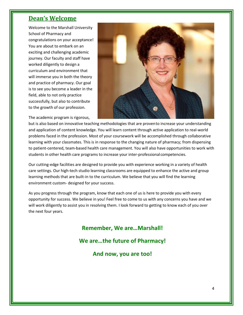# **Dean's Welcome**

Welcome to the Marshall University School of Pharmacy and congratulations on your acceptance! You are about to embark on an exciting and challenging academic journey. Our faculty and staff have worked diligently to design a curriculum and environment that will immerse you in both the theory and practice of pharmacy. Our goal is to see you become a leader in the field, able to not only practice successfully, but also to contribute to the growth of our profession.



The academic program is rigorous,

but is also based on innovative teaching methodologies that are provento increase your understanding and application of content knowledge. You will learn content through active application to real-world problems faced in the profession. Most of your coursework will be accomplished through collaborative learning with your classmates. This is in response to the changing nature of pharmacy; from dispensing to patient-centered, team-based health care management. You will also have opportunities to work with students in other health care programs to increase your inter-professional competencies.

Our cutting-edge facilities are designed to provide you with experience working in a variety of health care settings. Our high-tech studio learning classrooms are equipped to enhance the active and group learning methods that are built-in to the curriculum. We believe that you will find the learning environment custom- designed for your success.

As you progress through the program, know that each one of us is here to provide you with every opportunity for success. We believe in you! Feel free to come to us with any concerns you have and we will work diligently to assist you in resolving them. I look forward to getting to know each of you over the next four years.

**Remember, We are…Marshall!** 

**We are…the future of Pharmacy!** 

**And now, you are too!**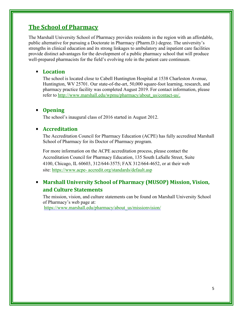# **The School of Pharmacy**

The Marshall University School of Pharmacy provides residents in the region with an affordable, public alternative for pursuing a Doctorate in Pharmacy (Pharm.D.) degree. The university's strengths in clinical education and its strong linkages to ambulatory and inpatient care facilities provide distinct advantages for the development of a public pharmacy school that will produce well-prepared pharmacists for the field's evolving role in the patient care continuum.

# **Location**

The school is located close to Cabell Huntington Hospital at 1538 Charleston Avenue, Huntington, WV 25701. Our state-of-the-art, 50,000 square-foot learning, research, and pharmacy practice facility was completed August 2019. For contact information, please refer to [http://www.marshall.edu/wpmu/pharmacy/about\\_us/contact-us/.](http://www.marshall.edu/wpmu/pharmacy/about_us/contact-us/)

# **Opening**

The school's inaugural class of 2016 started in August 2012.

# **Accreditation**

The Accreditation Council for Pharmacy Education (ACPE) has fully accredited Marshall School of Pharmacy for its Doctor of Pharmacy program.

For more information on the ACPE accreditation process, please contact the Accreditation Council for Pharmacy Education, 135 South LaSalle Street, Suite 4100, Chicago, IL 60603, 312/644-3575; FAX 312/664-4652, or at their web site: [https://www.acpe- a](https://www.acpe-accredit.org/standards/default.asp)ccredit.org/standards/default.asp

# **Marshall University School of Pharmacy (MUSOP) Mission, Vision, and Culture Statements**

The mission, vision, and culture statements can be found on Marshall University School of Pharmacy's web page at:

[https://www.marshall.edu/pharmacy/about\\_us/missionvision/](https://www.marshall.edu/pharmacy/about_us/missionvision/)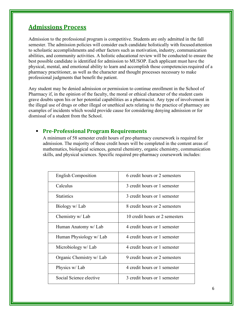# **Admissions Process**

Admission to the professional program is competitive. Students are only admitted in the fall semester. The admission policies will consider each candidate holistically with focused attention to scholastic accomplishments and other factors such as motivation, industry, communication abilities, and community activities. A holistic educational review will be conducted to ensure the best possible candidate is identified for admission to MUSOP. Each applicant must have the physical, mental, and emotional ability to learn and accomplish those competencies required of a pharmacy practitioner, as well as the character and thought processes necessary to make professional judgments that benefit the patient.

Any student may be denied admission or permission to continue enrollment in the School of Pharmacy if, in the opinion of the faculty, the moral or ethical character of the student casts grave doubts upon his or her potential capabilities as a pharmacist. Any type of involvement in the illegal use of drugs or other illegal or unethical acts relating to the practice of pharmacy are examples of incidents which would provide cause for considering denying admission or for dismissal of a student from the School.

# **Pre-Professional Program Requirements**

A minimum of 58 semester credit hours of pre-pharmacy coursework is required for admission. The majority of these credit hours will be completed in the content areas of mathematics, biological sciences, general chemistry, organic chemistry, communication skills, and physical sciences. Specific required pre-pharmacy coursework includes:

| <b>English Composition</b> | 6 credit hours or 2 semesters  |
|----------------------------|--------------------------------|
| Calculus                   | 3 credit hours or 1 semester   |
| <b>Statistics</b>          | 3 credit hours or 1 semester   |
| Biology w/ Lab             | 8 credit hours or 2 semesters  |
| Chemistry w/ Lab           | 10 credit hours or 2 semesters |
| Human Anatomy w/ Lab       | 4 credit hours or 1 semester   |
| Human Physiology w/ Lab    | 4 credit hours or 1 semester   |
| Microbiology w/ Lab        | 4 credit hours or 1 semester   |
| Organic Chemistry w/ Lab   | 9 credit hours or 2 semesters  |
| Physics w/ Lab             | 4 credit hours or 1 semester   |
| Social Science elective    | 3 credit hours or 1 semester   |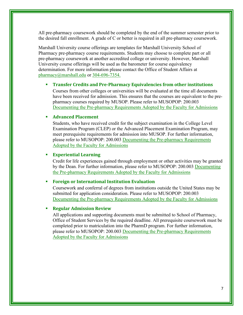All pre-pharmacy coursework should be completed by the end of the summer semester prior to the desired fall enrollment. A grade of C or better is required in all pre-pharmacy coursework.

Marshall University course offerings are templates for Marshall University School of Pharmacy pre-pharmacy course requirements. Students may choose to complete part or all pre-pharmacy coursework at another accredited college or university. However, Marshall University course offerings will be used as the barometer for course equivalency determination. For more information please contact the Office of Student Affairs at [pharmacy@marshall.edu](mailto:pharmacy@marshall.edu) or 304-696-7354.

#### **Transfer Credits and Pre-Pharmacy Equivalencies from other institutions**

Courses from other colleges or universities will be evaluated at the time all documents have been received for admission. This ensures that the courses are equivalent to the prepharmacy courses required by MUSOP. Please refer to MUSOPOP: 200.003 [Documenting](http://www.marshall.edu/wpmu/pharmacy/faculty_staff/faculty-and-staff-policies/200-003-documenting-the-pre-pharmacy-requirements-adopted-by-the-faculty-for-admissions/) [the Pre-pharmacy Requirements Adopted by the Faculty for Admissions](http://www.marshall.edu/pharmacy/faculty_staff/musop_policies/)

#### **Advanced Placement**

Students, who have received credit for the subject examination in the College Level Examination Program (CLEP) or the Advanced Placement Examination Program, may meet prerequisite requirements for admission into MUSOP. For further information, please refer to MUSOPOP: 200.003 [Documenting](http://www.marshall.edu/wpmu/pharmacy/faculty_staff/faculty-and-staff-policies/200-003-documenting-the-pre-pharmacy-requirements-adopted-by-the-faculty-for-admissions/) [the Pre-pharmacy Requirements](http://www.marshall.edu/pharmacy/faculty_staff/musop_policies/)  [Adopted by the Faculty for Admissions](http://www.marshall.edu/pharmacy/faculty_staff/musop_policies/) 

#### **Experiential Learning**

Credit for life experiences gained through employment or other activities may be granted by the Dean. For further information, please refer to MUSOPOP: 200.003 [Documenting](https://www.marshall.edu/pharmacy/faculty_staff/musop_policies/) [the Pre-pharmacy Requirements Adopted by the Faculty for Admissions](http://www.marshall.edu/pharmacy/faculty_staff/musop_policies/) 

#### **Foreign or International Institution Evaluation**

Coursework and conferral of degrees from institutions outside the United States may be submitted for application consideration. Please refer to MUSOPOP: 200.003 [Documenting](http://www.marshall.edu/wpmu/pharmacy/faculty_staff/faculty-and-staff-policies/200-003-documenting-the-pre-pharmacy-requirements-adopted-by-the-faculty-for-admissions/) [the Pre-pharmacy Requirements Adopted by the Faculty for Admissions](http://www.marshall.edu/pharmacy/faculty_staff/musop_policies/) 

#### **Regular Admission Review**

All applications and supporting documents must be submitted to School of Pharmacy, Office of Student Services by the required deadline. All prerequisite coursework must be completed prior to matriculation into the PharmD program. For further information, please refer to MUSOPOP: 200.003 [Documenting](https://www.marshall.edu/pharmacy/faculty_staff/musop_policies/) [the Pre-pharmacy Requirements](http://www.marshall.edu/pharmacy/faculty_staff/musop_policies/)  [Adopted by the Faculty for Admissions](http://www.marshall.edu/pharmacy/faculty_staff/musop_policies/)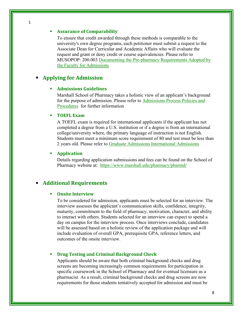#### **Assurance of Comparability**

To ensure that credit awarded through these methods is comparable to the university's own degree programs, each petitioner must submit a request to the Associate Dean for Curricular and Academic Affairs who will evaluate the request and grant or deny [credit or course equivalencies.](http://www.marshall.edu/wpmu/pharmacy/faculty_staff/faculty-and-staff-policies/200-003-documenting-the-pre-pharmacy-requirements-adopted-by-the-faculty-for-admissions/) [Please refer to](http://www.marshall.edu/pharmacy/faculty_staff/musop_policies/)  MUSOPOP: 200.003 Documenting the Pre-pharmacy Requirements Adopted by [the Faculty for Admissions](http://www.marshall.edu/pharmacy/faculty_staff/musop_policies/) 

#### **Applying for Admission**

#### **Admissions Guidelines**

Marshall School of Pharmacy takes a holistic view of an applicant's background for the purpose of admission. Please refer to [Admissions Process Policies and](https://www.marshall.edu/pharmacy/files/MUSOP-Policy-200-004_Admissions-Process_approved2018.pdf)  [Procedures](https://www.marshall.edu/pharmacy/files/MUSOP-Policy-200-004_Admissions-Process_approved2018.pdf) for further information

#### **TOEFL Exam**

A TOEFL exam is required for international applicants if the applicant has not completed a degree from a U.S. institution or if a degree is from an international college/university where, the primary language of instruction is not English. Students must meet a minimum score requirement of 80 and test must be less than 2 years old. Please refer to [Graduate Admissions International Admissions](https://www.marshall.edu/graduate/admissions/international-admission/)

#### **Application**

Details regarding application submissions and fees can be found on the School of Pharmacy website at: <https://www.marshall.edu/pharmacy/pharmd/>

#### **Additional Requirements**

#### **Onsite Interview**

To be considered for admission, applicants must be selected for an interview. The interview assesses the applicant's communication skills, confidence, integrity, maturity, commitment to the field of pharmacy, motivation, character, and ability to interact with others. Students selected for an interview can expect to spend a day on campus for the interview process. Once interviews conclude, candidates will be assessed based on a holistic review of the application package and will include evaluation of overall GPA, prerequisite GPA, reference letters, and outcomes of the onsite interview.

#### **Drug Testing and Criminal Background Check**

Applicants should be aware that both criminal background checks and drug screens are becoming increasingly common requirements for participation in specific coursework in the School of Pharmacy and for eventual licensure as a pharmacist. As a result, criminal background checks and drug screens are now requirements for those students tentatively accepted for admission and must be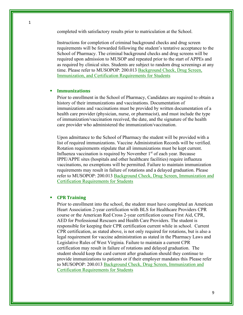completed with satisfactory results prior to matriculation at the School.

Instructions for completion of criminal background checks and drug screen requirements will be forwarded following the student's tentative acceptance to the School of Pharmacy. The criminal background checks and drug screens will be required upon admission to MUSOP and repeated prior to the start of APPEs and as required by clinical sites. Students are subject to random drug screenings at any time. Please refer to MUSOPOP: 200.013 [Background Check, Drug Screen,](https://www.marshall.edu/pharmacy/files/MUSOP-Policy-200.013_Background-Check-Requirements_signed.pdf)  [Immunization, and Certification Requirements for Students](https://www.marshall.edu/pharmacy/files/MUSOP-Policy-200.013_Background-Check-Requirements_signed.pdf)

#### **Immunizations**

Prior to enrollment in the School of Pharmacy, Candidates are required to obtain a history of their immunizations and vaccinations. Documentation of immunizations and vaccinations must be provided by written documentation of a health care provider (physician, nurse, or pharmacist), and must include the type of immunization/vaccination received, the date, and the signature of the health care provider who administered the immunization/vaccination.

Upon admittance to the School of Pharmacy the student will be provided with a list of required immunizations. Vaccine Administration Records will be verified. Rotation requirements stipulate that all immunizations must be kept current. Influenza vaccination is required by November  $1<sup>st</sup>$  of each year. Because IPPE/APPE sites (hospitals and other healthcare facilities) require influenza vaccinations, no exemptions will be permitted. Failure to maintain immunization requirements may result in failure of rotations and a delayed graduation. Please refer to MUSOPOP: 200.013 [Background Check, Drug Screen, Immunization and](https://www.marshall.edu/pharmacy/files/MUSOP-Policy-200.013_Background-Check-Requirements_signed.pdf)  [Certification Requirements for Students](https://www.marshall.edu/pharmacy/files/MUSOP-Policy-200.013_Background-Check-Requirements_signed.pdf)

#### **CPR Training**

Prior to enrollment into the school, the student must have completed an American Heart Association 2-year certification with BLS for Healthcare Providers CPR course or the American Red Cross 2-year certification course First Aid, CPR, AED for Professional Rescuers and Health Care Providers. The student is responsible for keeping their CPR certification current while in school. Current CPR certification, as stated above, is not only required for rotations, but is also a legal requirement for vaccine administration as stated in the Pharmacy Laws and Legislative Rules of West Virginia. Failure to maintain a current CPR certification may result in failure of rotations and delayed graduation. The student should keep the card current after graduation should they continue to provide immunizations to patients or if their employer mandates this. Please refer to MUSOPOP: 200.013 [Background Check, Drug Screen, Immunization and](https://www.marshall.edu/pharmacy/files/MUSOP-Policy-200.013_Background-Check-Requirements_signed.pdf)  [Certification Requirements for Students](https://www.marshall.edu/pharmacy/files/MUSOP-Policy-200.013_Background-Check-Requirements_signed.pdf)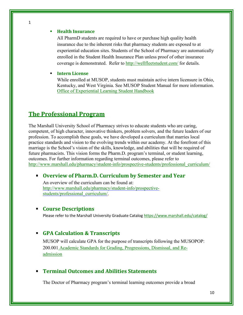#### **Health Insurance**

1

All PharmD students are required to have or purchase high quality health insurance due to the inherent risks that pharmacy students are exposed to at experiential education sites. Students of the School of Pharmacy are automatically enrolled in the Student Health Insurance Plan unless proof of other insurance coverage is demonstrated. Refer to<http://wellfleetstudent.com/> for details.

#### **Intern License**

While enrolled at MUSOP, students must maintain active intern licensure in Ohio, Kentucky, and West Virginia. See MUSOP Student Manual for more information. [Office of Experiential Learning Student Handbook](https://www.marshall.edu/pharmacy/files/MUSOP-OEL-Student-Manual-2020-2021-FINAL.pdf)

# **The Professional Program**

The Marshall University School of Pharmacy strives to educate students who are caring, competent, of high character, innovative thinkers, problem solvers, and the future leaders of our profession. To accomplish these goals, we have developed a curriculum that marries local practice standards and vision to the evolving trends within our academy. At the forefront of this marriage is the School's vision of the skills, knowledge, and abilities that will be required of future pharmacists. This vision forms the Pharm.D. program's terminal, or student learning, outcomes. For further information regarding terminal outcomes, please refer to [http://www.marshall.edu/pharmacy/student-info/prospective-students/professional\\_curriculum/](http://www.marshall.edu/pharmacy/student-info/prospective-students/professional_curriculum/)

# **Overview of Pharm.D. Curriculum by Semester and Year**

An overview of the curriculum can be found at: [http://www.marshall.edu/pharmacy/student-info/prospective](http://www.marshall.edu/pharmacy/student-info/prospective-students/professional_curriculum/)[students/professional\\_curriculum/.](http://www.marshall.edu/pharmacy/student-info/prospective-students/professional_curriculum/)

#### **Course Descriptions**

Please refer to the Marshall University Graduate Catalo[g https://www.marshall.edu/catalog/](https://www.marshall.edu/catalog/)

## **GPA Calculation & Transcripts**

MUSOP will calculate GPA for the purpose of transcripts following the MUSOPOP: 200.001 Academic Standards for [Grading, Progressions, Dismissal, and Re](http://www.marshall.edu/pharmacy/faculty_staff/musop_policies/)[admission](http://www.marshall.edu/pharmacy/faculty_staff/musop_policies/)

#### **Terminal Outcomes and Abilities Statements**

The Doctor of Pharmacy program's terminal learning outcomes provide a broad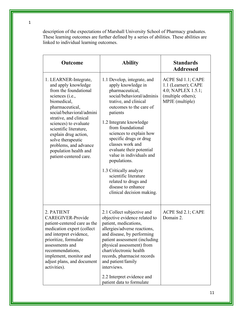description of the expectations of Marshall University School of Pharmacy graduates. These learning outcomes are further defined by a series of abilities. These abilities are linked to individual learning outcomes.

| <b>Outcome</b>                                                                                                                                                                                                                                                                                                                                               | <b>Ability</b>                                                                                                                                                                                                                                                                                                                                                                                                                                                                                   | <b>Standards</b><br><b>Addressed</b>                                                                     |
|--------------------------------------------------------------------------------------------------------------------------------------------------------------------------------------------------------------------------------------------------------------------------------------------------------------------------------------------------------------|--------------------------------------------------------------------------------------------------------------------------------------------------------------------------------------------------------------------------------------------------------------------------------------------------------------------------------------------------------------------------------------------------------------------------------------------------------------------------------------------------|----------------------------------------------------------------------------------------------------------|
| 1. LEARNER-Integrate,<br>and apply knowledge<br>from the foundational<br>sciences (i.e.,<br>biomedical,<br>pharmaceutical,<br>social/behavioral/admini<br>strative, and clinical<br>sciences) to evaluate<br>scientific literature,<br>explain drug action,<br>solve therapeutic<br>problems, and advance<br>population health and<br>patient-centered care. | 1.1 Develop, integrate, and<br>apply knowledge in<br>pharmaceutical,<br>social/behavioral/adminis<br>trative, and clinical<br>outcomes to the care of<br>patients<br>1.2 Integrate knowledge<br>from foundational<br>sciences to explain how<br>specific drugs or drug<br>classes work and<br>evaluate their potential<br>value in individuals and<br>populations.<br>1.3 Critically analyze<br>scientific literature<br>related to drugs and<br>disease to enhance<br>clinical decision making. | ACPE Std 1.1; CAPE<br>1.1 (Learner); CAPE<br>4.0; NAPLEX 1.5.1;<br>(multiple others);<br>MPJE (multiple) |
| 2. PATIENT<br>CAREGIVER-Provide<br>patient-centered care as the<br>medication expert (collect<br>and interpret evidence,<br>prioritize, formulate<br>assessments and<br>recommendations,<br>implement, monitor and<br>adjust plans, and document<br>activities).                                                                                             | 2.1 Collect subjective and<br>objective evidence related to<br>patient, medications,<br>allergies/adverse reactions,<br>and disease, by performing<br>patient assessment (including<br>physical assessment) from<br>chart/electronic health<br>records, pharmacist records<br>and patient/family<br>interviews.<br>2.2 Interpret evidence and<br>patient data to formulate                                                                                                                       | ACPE Std 2.1; CAPE<br>Domain 2.                                                                          |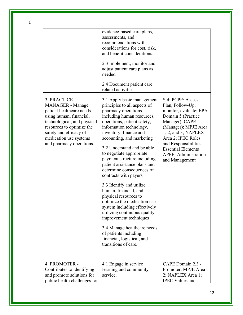|                                                                                                                                                                                                                                    | evidence-based care plans,<br>assessments, and<br>recommendations with<br>considerations for cost, risk,<br>and benefit considerations.<br>2.3 Implement, monitor and<br>adjust patient care plans as<br>needed<br>2.4 Document patient care<br>related activities.                                                                                                                                                                                                                                                                                                                                                                                                                                                                  |                                                                                                                                                                                                                                                                                           |
|------------------------------------------------------------------------------------------------------------------------------------------------------------------------------------------------------------------------------------|--------------------------------------------------------------------------------------------------------------------------------------------------------------------------------------------------------------------------------------------------------------------------------------------------------------------------------------------------------------------------------------------------------------------------------------------------------------------------------------------------------------------------------------------------------------------------------------------------------------------------------------------------------------------------------------------------------------------------------------|-------------------------------------------------------------------------------------------------------------------------------------------------------------------------------------------------------------------------------------------------------------------------------------------|
| 3. PRACTICE<br>MANAGER - Manage<br>patient healthcare needs<br>using human, financial,<br>technological, and physical<br>resources to optimize the<br>safety and efficacy of<br>medication use systems<br>and pharmacy operations. | 3.1 Apply basic management<br>principles to all aspects of<br>pharmacy operations<br>including human resources,<br>operations, patient safety,<br>information technology,<br>inventory, finance and<br>accounting, and marketing<br>3.2 Understand and be able<br>to negotiate appropriate<br>payment structure including<br>patient assistance plans and<br>determine consequences of<br>contracts with payers<br>3.3 Identify and utilize<br>human, financial, and<br>physical resources to<br>optimize the medication use<br>system including effectively<br>utilizing continuous quality<br>improvement techniques<br>3.4 Manage healthcare needs<br>of patients including<br>financial, logistical, and<br>transitions of care. | Std: PCPP: Assess,<br>Plan, Follow-Up,<br>monitor, evaluate; EPA<br>Domain 5 (Practice<br>Manager); CAPE<br>(Manager); MPJE Area<br>$1, 2,$ and $3$ ; NAPLEX<br>Area 2; IPEC Roles<br>and Responsibilities;<br><b>Essential Elements</b><br><b>APPE: Administration</b><br>and Management |
| 4. PROMOTER -<br>Contributes to identifying<br>and promote solutions for<br>public health challenges for                                                                                                                           | 4.1 Engage in service<br>learning and community<br>service.                                                                                                                                                                                                                                                                                                                                                                                                                                                                                                                                                                                                                                                                          | CAPE Domain 2.3 -<br>Promoter; MPJE Area<br>2; NAPLEX Area 1;<br><b>IPEC Values and</b>                                                                                                                                                                                                   |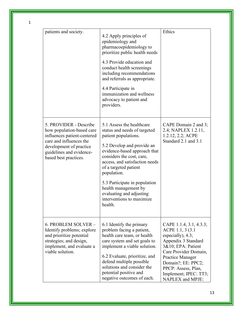| patients and society.                                                                                                                                                                         | 4.2 Apply principles of<br>epidemiology and<br>pharmacoepidemiology to<br>prioritize public health needs<br>4.3 Provide education and<br>conduct health screenings<br>including recommendations<br>and referrals as appropriate.<br>4.4 Participate in<br>immunization and wellness<br>advocacy to patient and<br>providers.                                                        | Ethics                                                                                                                                                                                                                                                   |
|-----------------------------------------------------------------------------------------------------------------------------------------------------------------------------------------------|-------------------------------------------------------------------------------------------------------------------------------------------------------------------------------------------------------------------------------------------------------------------------------------------------------------------------------------------------------------------------------------|----------------------------------------------------------------------------------------------------------------------------------------------------------------------------------------------------------------------------------------------------------|
| 5. PROVIDER - Describe<br>how population-based care<br>influences patient-centered<br>care and influences the<br>development of practice<br>guidelines and evidence-<br>based best practices. | 5.1 Assess the healthcare<br>status and needs of targeted<br>patient populations.<br>5.2 Develop and provide an<br>evidence-based approach that<br>considers the cost, care,<br>access, and satisfaction needs<br>of a targeted patient<br>population.<br>5.3 Participate in population<br>health management by<br>evaluating and adjusting<br>interventions to maximize<br>health. | CAPE Domain 2 and 3;<br>2.4; NAPLEX 1.2.11,<br>1.2.12, 2.2; ACPE<br>Standard 2.1 and 3.1                                                                                                                                                                 |
| 6. PROBLEM SOLVER -<br>Identify problems; explore<br>and prioritize potential<br>strategies; and design,<br>implement, and evaluate a<br>viable solution.                                     | 6.1 Identify the primary<br>problem facing a patient,<br>health care team, or health<br>care system and set goals to<br>implement a viable solution.<br>6.2 Evaluate, prioritize, and<br>defend multiple possible<br>solutions and consider the<br>potential positive and<br>negative outcomes of each.                                                                             | CAPE 1.1.4, 3.1, 4.3.3;<br>ACPE 1.1, 3 (3.1)<br>especially), $4.3$ ;<br>Appendix 3 Standard<br>3&10; EPA: Patient<br>Care Provider Domain,<br>Practice Manager<br>Domain?; EE: PPC2;<br>PPCP: Assess, Plan,<br>Implement; IPEC: TT3;<br>NAPLEX and MPJE: |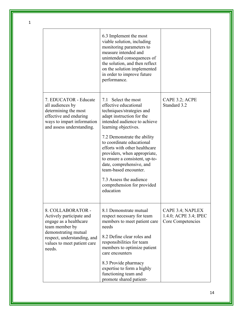|                                                                                                                                                                                           | 6.3 Implement the most<br>viable solution, including<br>monitoring parameters to<br>measure intended and<br>unintended consequences of<br>the solution, and then reflect<br>on the solution implemented<br>in order to improve future<br>performance.                                                                                                                                                                                                    |                                                                |
|-------------------------------------------------------------------------------------------------------------------------------------------------------------------------------------------|----------------------------------------------------------------------------------------------------------------------------------------------------------------------------------------------------------------------------------------------------------------------------------------------------------------------------------------------------------------------------------------------------------------------------------------------------------|----------------------------------------------------------------|
| 7. EDUCATOR - Educate<br>all audiences by<br>determining the most<br>effective and enduring<br>ways to impart information<br>and assess understanding.                                    | 7.1 Select the most<br>effective educational<br>techniques/strategies and<br>adapt instruction for the<br>intended audience to achieve<br>learning objectives.<br>7.2 Demonstrate the ability<br>to coordinate educational<br>efforts with other healthcare<br>providers, when appropriate,<br>to ensure a consistent, up-to-<br>date, comprehensive, and<br>team-based encounter.<br>7.3 Assess the audience<br>comprehension for provided<br>education | CAPE 3.2; ACPE<br>Standard 3.2                                 |
| 8. COLLABORATOR -<br>Actively participate and<br>engage as a healthcare<br>team member by<br>demonstrating mutual<br>respect, understanding, and<br>values to meet patient care<br>needs. | 8.1 Demonstrate mutual<br>respect necessary for team<br>members to meet patient care<br>needs<br>8.2 Define clear roles and<br>responsibilities for team<br>members to optimize patient<br>care encounters<br>8.3 Provide pharmacy<br>expertise to form a highly<br>functioning team and<br>promote shared patient-                                                                                                                                      | CAPE 3.4; NAPLEX<br>1.4.0; ACPE 3.4; IPEC<br>Core Competencies |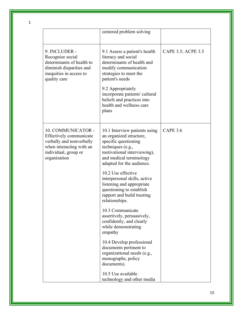|                                                                                                                                               | centered problem solving                                                                                                                                                                                                                                                          |                    |
|-----------------------------------------------------------------------------------------------------------------------------------------------|-----------------------------------------------------------------------------------------------------------------------------------------------------------------------------------------------------------------------------------------------------------------------------------|--------------------|
| 9. INCLUDER -<br>Recognize social<br>determinants of health to<br>diminish disparities and<br>inequities in access to<br>quality care         | 9.1 Assess a patient's health<br>literacy and social<br>determinants of health and<br>modify communication<br>strategies to meet the<br>patient's needs<br>9.2 Appropriately<br>incorporate patients' cultural<br>beliefs and practices into<br>health and wellness care<br>plans | CAPE 3.5; ACPE 3.5 |
| 10. COMMUNICATOR -<br>Effectively communicate<br>verbally and nonverbally<br>when interacting with an<br>individual, group or<br>organization | 10.1 Interview patients using<br>an organized structure,<br>specific questioning<br>techniques (e.g.,<br>motivational interviewing),<br>and medical terminology<br>adapted for the audience.<br>10.2 Use effective<br>interpersonal skills, active                                | <b>CAPE 3.6</b>    |
|                                                                                                                                               | listening and appropriate<br>questioning to establish<br>rapport and build trusting<br>relationships.                                                                                                                                                                             |                    |
|                                                                                                                                               | 10.3 Communicate<br>assertively, persuasively,<br>confidently, and clearly<br>while demonstrating<br>empathy                                                                                                                                                                      |                    |
|                                                                                                                                               | 10.4 Develop professional<br>documents pertinent to<br>organizational needs (e.g.,<br>monographs, policy<br>documents).                                                                                                                                                           |                    |
|                                                                                                                                               | 10.5 Use available<br>technology and other media                                                                                                                                                                                                                                  |                    |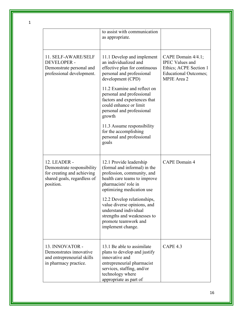|                                                                                                                      | to assist with communication<br>as appropriate.                                                                                                                                                                                                                                                                                                                                                  |                                                                                                                       |
|----------------------------------------------------------------------------------------------------------------------|--------------------------------------------------------------------------------------------------------------------------------------------------------------------------------------------------------------------------------------------------------------------------------------------------------------------------------------------------------------------------------------------------|-----------------------------------------------------------------------------------------------------------------------|
| 11. SELF-AWARE/SELF<br><b>DEVELOPER -</b><br>Demonstrate personal and<br>professional development.                   | 11.1 Develop and implement<br>an individualized and<br>effective plan for continuous<br>personal and professional<br>development (CPD)<br>11.2 Examine and reflect on<br>personal and professional<br>factors and experiences that<br>could enhance or limit<br>personal and professional<br>growth<br>11.3 Assume responsibility<br>for the accomplishing<br>personal and professional<br>goals | CAPE Domain 4/4.1;<br><b>IPEC Values and</b><br>Ethics; ACPE Section 1<br><b>Educational Outcomes;</b><br>MPJE Area 2 |
| 12. LEADER -<br>Demonstrate responsibility<br>for creating and achieving<br>shared goals, regardless of<br>position. | 12.1 Provide leadership<br>(formal and informal) in the<br>profession, community, and<br>health care teams to improve<br>pharmacists' role in<br>optimizing medication use<br>12.2 Develop relationships,<br>value diverse opinions, and<br>understand individual<br>strengths and weaknesses to<br>promote teamwork and<br>implement change.                                                    | <b>CAPE</b> Domain 4                                                                                                  |
| 13. INNOVATOR -<br>Demonstrates innovative<br>and entrepreneurial skills<br>in pharmacy practice.                    | 13.1 Be able to assimilate<br>plans to develop and justify<br>innovative and<br>entrepreneurial pharmacist<br>services, staffing, and/or<br>technology where<br>appropriate as part of                                                                                                                                                                                                           | <b>CAPE 4.3</b>                                                                                                       |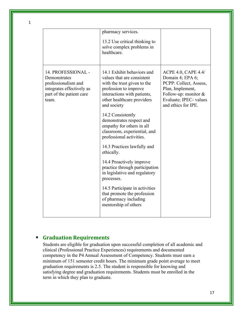|                                                                                                                             | pharmacy services.<br>13.2 Use critical thinking to<br>solve complex problems in<br>healthcare.                                                                                              |                                                                                                                                                                         |
|-----------------------------------------------------------------------------------------------------------------------------|----------------------------------------------------------------------------------------------------------------------------------------------------------------------------------------------|-------------------------------------------------------------------------------------------------------------------------------------------------------------------------|
| 14. PROFESSIONAL -<br>Demonstrates<br>professionalism and<br>integrates effectively as<br>part of the patient care<br>team. | 14.1 Exhibit behaviors and<br>values that are consistent<br>with the trust given to the<br>profession to improve<br>interactions with patients,<br>other healthcare providers<br>and society | <b>ACPE 4.0, CAPE 4.4/</b><br>Domain 4; EPA 6;<br>PCPP: Collect, Assess,<br>Plan, Implement,<br>Follow-up: monitor $&$<br>Evaluate; IPEC- values<br>and ethics for IPE. |
|                                                                                                                             | 14.2 Consistently<br>demonstrates respect and<br>empathy for others in all<br>classroom, experiential, and<br>professional activities.                                                       |                                                                                                                                                                         |
|                                                                                                                             | 14.3 Practices lawfully and<br>ethically.                                                                                                                                                    |                                                                                                                                                                         |
|                                                                                                                             | 14.4 Proactively improve<br>practice through participation<br>in legislative and regulatory<br>processes.                                                                                    |                                                                                                                                                                         |
|                                                                                                                             | 14.5 Participate in activities<br>that promote the profession<br>of pharmacy including<br>mentorship of others                                                                               |                                                                                                                                                                         |

# **Graduation Requirements**

Students are eligible for graduation upon successful completion of all academic and clinical (Professional Practice Experiences) requirements and documented competency in the P4 Annual Assessment of Competency. Students must earn a minimum of 151 semester credit hours. The minimum grade point average to meet graduation requirements is 2.5. The student is responsible for knowing and satisfying degree and graduation requirements. Students must be enrolled in the term in which they plan to graduate.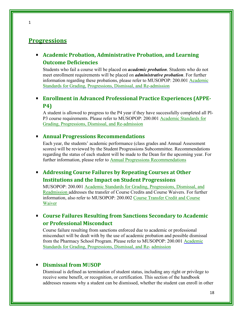# **Progressions**

# **Academic Probation, Administrative Probation, and Learning Outcome Deficiencies**

Students who fail a course will be placed on *academic probation*. Students who do not meet enrollment requirements will be placed on *administrative probation*. For further information regarding these probations, please refer to MUSOPOP: 200.001 [Academic](http://www.marshall.edu/pharmacy/faculty_staff/musop_policies/)  [Standards for Grading,](http://www.marshall.edu/pharmacy/faculty_staff/musop_policies/) Progressions, Dismissal, and Re-admission

# **Enrollment in Advanced Professional Practice Experiences (APPE-P4)**

A student is allowed to progress to the P4 year if they have successfully completed all Pl-P3 [course requirements. Please refer to MUSOPOP: 200.001 Aca](http://www.marshall.edu/wpmu/pharmacy/faculty_staff/faculty-and-staff-policies/200-001-academic-standards-for-grading-progressions-dismissal-and-re-admission/)[demic Standards for](http://www.marshall.edu/pharmacy/faculty_staff/musop_policies/)  [Grading, Progressions,](http://www.marshall.edu/pharmacy/faculty_staff/musop_policies/) Dismissal, and Re-admission

#### **Annual Progressions Recommendations**

[Each year, the stude](http://www.marshall.edu/wpmu/pharmacy/faculty_staff/faculty-and-staff-policies/200-001-academic-standards-for-grading-progressions-dismissal-and-re-admission/)nts' academic performance (class grades and Annual Assessment scores) will be reviewed by the Student Progressions Subcommittee. Recommendations regarding the status of each student will be made to the Dean for the upcoming year. For further information, please refer to [Annual Progressions Recommendations](https://www.marshall.edu/pharmacy/files/MUSOP-Policy-200-001_Academic-standards_grading_Progressions_2018_signed.pdf)

# **Addressing Course Failures by Repeating Courses at Other Institutions and the Impact on Student Progressions**

MUSOPOP: 200.001 [Academic Standards for Grading, Progressions, Dismissal, and](http://www.marshall.edu/pharmacy/faculty_staff/musop_policies/)  [Readmission a](http://www.marshall.edu/pharmacy/faculty_staff/musop_policies/)ddresses the transfer of Course Credits and Course Waivers. For further information, also refer to MUSOPOP: 200.002 [Course Transfer Credit and Course](http://www.marshall.edu/pharmacy/faculty_staff/musop_policies/)  [Waiver](http://www.marshall.edu/pharmacy/faculty_staff/musop_policies/)

# **Course Failures Resulting from Sanctions Secondary to Academic or Professional Misconduct**

Course failure resulting from sanctions enforced due to academic or professional misconduct will be dealt with by the use of academic probation and possible dismissal from the Pharmacy School Program. Please refer to MUSOPOP: 200.001 [Academic](http://www.marshall.edu/pharmacy/faculty_staff/musop_policies/)  [Standards for Grading, Progressions, Dismissal, and Re-](http://www.marshall.edu/pharmacy/faculty_staff/musop_policies/) [admission](http://www.marshall.edu/wpmu/pharmacy/faculty_staff/faculty-and-staff-policies/200-001-academic-standards-for-grading-progressions-dismissal-and-re-admission/)

## **Dismissal from M**U**SOP**

Dismissal is defined as termination of student status, including any right or privilege to receive some benefit, or recognition, or certification. This section of the handbook addresses reasons why a student can be dismissed, whether the student can enroll in other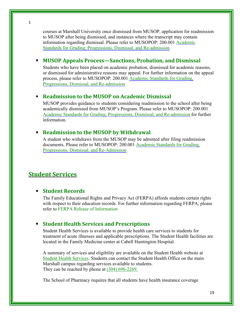courses at Marshall University once dismissed from MUSOP, application for readmission to MUSOP after being dismissed, and instances where the transcript may contain information regarding dismissal. Please refer to MUSOPOP: 200.001 [Academic](http://www.marshall.edu/pharmacy/faculty_staff/musop_policies/)  [Standards for Grading, Progressions, Dismissal, and Re-admission](http://www.marshall.edu/pharmacy/faculty_staff/musop_policies/) 

# **MUSOP Appeals Process—Sanctions, Probation, and Dismissal**

Students who have been placed on academic probation, dismissed for academic reasons, or dismissed for administrative reasons may appeal. For further information on the appeal process, please refer to MUSOPOP: 200.001 [Academic Standards for Grading,](http://www.marshall.edu/pharmacy/faculty_staff/musop_policies/)  [Progressions, Dismissal, and Re-admission](http://www.marshall.edu/pharmacy/faculty_staff/musop_policies/)

# **Readmission to the MUSOP on Academic Dismissal**

MUSOP provides guidance to students considering readmission to the school after being academically dismissed from MUSOP's Program. Please refer to MUSOPOP: 200.001 [Academic Standards for](http://www.marshall.edu/pharmacy/faculty_staff/musop_policies/) [Grading, Progressions, Dismissal, and Re-admission](http://www.marshall.edu/pharmacy/faculty_staff/musop_policies/) for further information.

## **Readmission to the MUSOP by Withdrawal**

A student who withdraws from the MUSOP may be admitted after filing readmission documents. Please refer to MUSOPOP: 200.001 [Academic Standards for Grading,](http://www.marshall.edu/pharmacy/faculty_staff/musop_policies/)  [Progressions, Dismissal, and Re-Admission](http://www.marshall.edu/pharmacy/faculty_staff/musop_policies/)

# **Student Services**

## **Student Records**

The Family Educational Rights and Privacy Act (FERPA) affords students certain rights with respect to their education records. For further information regarding FERPA, please refer to [FERPA Release of Information](https://www.marshall.edu/student-affairs/ferpa/)

## **Student Health Services and Prescriptions**

Student Health Services is available to provide health care services to students for treatment of acute illnesses and applicable prescriptions. The Student Health facilities are located in the Family Medicine center at Cabell Huntington Hospital.

A summary of services and eligibility are available on the Student Health website at [Student Health Services.](http://www.marshall.edu/wpmu/studenthealth/) Students can contact the Student Health Office on the main Marshall campus regarding services available to students. They can be reached by phone at (304) 696-2269.

The School of Pharmacy requires that all students have health insurance coverage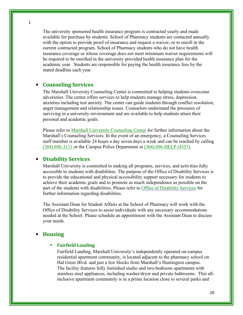1

The university sponsored health insurance program is contracted yearly and made available for purchase by students. School of Pharmacy students are contacted annually with the option to provide proof of insurance and request a waiver, or to enroll in the current contracted program. School of Pharmacy students who do not have health insurance coverage or whose coverage does not meet minimum waiver requirements will be required to be enrolled in the university provided health insurance plan for the academic year. Students are responsible for paying the health insurance fees by the stated deadline each year.

## **Counseling Services**

The Marshall University Counseling Center is committed to helping students overcome adversities. The center offers services to help students manage stress, depression, anxieties including test anxiety. The center can guide students through conflict resolution, anger management and relationship issues. Counselors understand the pressures of surviving in a university environment and are available to help students attain their personal and academic goals.

Please refer to [Marshall University Counseling Center](https://www.marshall.edu/counseling/) for further information about the Marshall's Counseling Services. In the event of an emergency, a Counseling Services staff member is available 24 hours a day seven days a week and can be reached by calling (304) 696-3111 or the Campus Police Department at (304) 696-HELP (4357).

#### **Disability Services**

Marshall University is committed to making all programs, services, and activities fully accessible to students with disabilities. The purpose of the Office of Disability Services is to provide the educational and physical accessibility support necessary for students to achieve their academic goals and to promote as much independence as possible on the part of the students with disabilities. Please refer to [Office of Disability Services](https://www.marshall.edu/ctl/office-of-disability-services) for further information regarding disabilities.

The Assistant Dean for Student Affairs at the School of Pharmacy will work with the Office of Disability Services to assist individuals with any necessary accommodations needed at the School. Please schedule an appointment with the Assistant Dean to discuss your needs.

#### **Housing**

#### **Fairfield Landing**

Fairfield Landing, Marshall University's independently operated on-campus residential apartment community, is located adjacent to the pharmacy school on Hal Greer Blvd. and just a few blocks from Marshall's Huntington campus. The facility features fully furnished studio and two-bedroom apartments with stainless steel appliances, including washer/dryer and private bathrooms. This allinclusive apartment community is in a prime location close to several parks and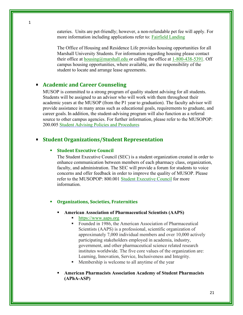eateries. Units are pet-friendly; however, a non-refundable pet fee will apply. For more information including applications refer to: [Fairfield Landing](https://www.marshall.edu/thelanding/)

The Office of Housing and Residence Life provides housing opportunities for all Marshall University Students. For information regarding housing please contact their office at [housing@marshall.edu o](mailto:housing@marshall.edu)r calling the office at  $1-800-438-5391$ . Off campus housing opportunities, where available, are the responsibility of the student to locate and arrange lease agreements.

#### **Academic and Career Counseling**

MUSOP is committed to a strong program of quality student advising for all students. Students will be assigned to an advisor who will work with them throughout their academic years at the MUSOP (from the P1 year to graduation). The faculty advisor will provide assistance in many areas such as educational goals, requirements to graduate, and career goals. In addition, the student-advising program will also function as a referral source to other campus agencies. For further information, please refer to the MUSOPOP: 200.005 [Student Advising Policies and Procedures](http://www.marshall.edu/pharmacy/faculty_staff/musop_policies/) 

#### **Student Organizations/Student Representation**

#### **Student Executive Council**

The Student Executive Council (SEC) is a student organization created in order to enhance communication between members of each pharmacy class, organization, faculty, and administration. The SEC will provide a forum for students to voice concerns and offer feedback in order to improve the quality of MUSOP. Please refer to the MUSOPOP: 800.001 [Student Executive Council f](http://www.marshall.edu/pharmacy/faculty_staff/musop_policies/)or more information.

#### **Organizations, Societies, Fraternities**

- **American Association of Pharmaceutical Scientists (AAPS)**
	- [https://www.aaps.org](https://www.aaps.org/home)
	- Founded in 1986, the American Association of Pharmaceutical Scientists (AAPS) is a professional, scientific organization of approximately 7,000 individual members and over 10,000 actively participating stakeholders employed in academia, industry, government, and other pharmaceutical science related research institutes worldwide. The five core values of the organization are: Learning, Innovation, Service, Inclusiveness and Integrity.
	- Membership is welcome to all anytime of the year
- **American Pharmacists Association Academy of Student Pharmacists (APhA-ASP)**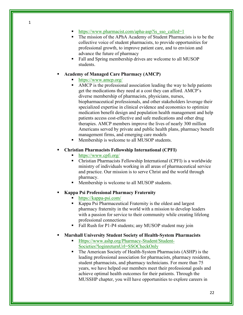- The mission of the APhA Academy of Student Pharmacists is to be the collective voice of student pharmacists, to provide opportunities for professional growth, to improve patient care, and to envision and advance the future of pharmacy
- Fall and Spring membership drives are welcome to all MUSOP students.

#### **Academy of Managed Care Pharmacy (AMCP)**

#### <https://www.amcp.org/>

- AMCP is the professional association leading the way to help patients get the medications they need at a cost they can afford. AMCP's diverse membership of pharmacists, physicians, nurses, biopharmaceutical professionals, and other stakeholders leverage their specialized expertise in clinical evidence and economics to optimize medication benefit design and population health management and help patients access cost-effective and safe medications and other drug therapies. AMCP members improve the lives of nearly 300 million Americans served by private and public health plans, pharmacy benefit management firms, and emerging care models
- Membership is welcome to all MUSOP students.

## **Christian Pharmacists Fellowship International (CPFI)**

- <https://www.cpfi.org/>
- Christian Pharmacists Fellowship International (CPFI) is a worldwide ministry of individuals working in all areas of pharmaceutical service and practice. Our mission is to serve Christ and the world through pharmacy.
- Membership is welcome to all MUSOP students.

## **Kappa Psi Professional Pharmacy Fraternity**

- <https://kappa-psi.com/>
- Kappa Psi Pharmaceutical Fraternity is the oldest and largest pharmacy fraternity in the world with a mission to develop leaders with a passion for service to their community while creating lifelong professional connections
- Fall Rush for P1-P4 students; any MUSOP student may join

## **Marshall University Student Society of Health-System Pharmacists**

- [Https://www.ashp.org/Pharmacy-Student/Student-](https://www.ashp.org/Pharmacy-Student/Student-Societies?loginreturnUrl=SSOCheckOnly)[Societies?loginreturnUrl=SSOCheckOnly](https://www.ashp.org/Pharmacy-Student/Student-Societies?loginreturnUrl=SSOCheckOnly)
- The American Society of Health-System Pharmacists (ASHP) is the leading professional association for pharmacists, pharmacy residents, student pharmacists, and pharmacy technicians. For more than 75 years, we have helped our members meet their professional goals and achieve optimal health outcomes for their patients. Through the MUSSHP chapter, you will have opportunities to explore careers in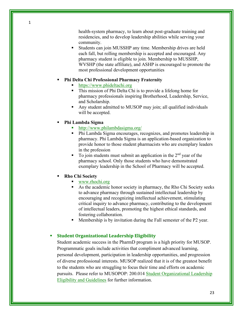health-system pharmacy, to learn about post-graduate training and residencies, and to develop leadership abilities while serving your community.

 Students can join MUSSHP any time. Membership drives are held each fall, but rolling membership is accepted and encouraged. Any pharmacy student is eligible to join. Membership to MUSSHP, WVSHP (the state affiliate), and ASHP is encouraged to promote the most professional development opportunities

#### **Phi Delta Chi Professional Pharmacy Fraternity**

- [https://www.phideltachi.org](https://www.phideltachi.org/?)
- This mission of Phi Delta Chi is to provide a lifelong home for pharmacy professionals inspiring Brotherhood, Leadership, Service, and Scholarship.
- Any student admitted to MUSOP may join; all qualified individuals will be accepted.
- **Phi Lambda Sigma**
	- <http://www.philambdasigma.org/>
	- Phi Lambda Sigma encourages, recognizes, and promotes leadership in pharmacy. Phi Lambda Sigma is an application-based organization to provide honor to those student pharmacists who are exemplary leaders in the profession
	- To join students must submit an application in the  $2<sup>nd</sup>$  year of the pharmacy school. Only those students who have demonstrated exemplary leadership in the School of Pharmacy will be accepted.

#### **Rho Chi Society**

- [www.rhochi.org](http://www.rhochi.org/)
- As the academic honor society in pharmacy, the Rho Chi Society seeks to advance pharmacy through sustained intellectual leadership by encouraging and recognizing intellectual achievement, stimulating critical inquiry to advance pharmacy, contributing to the development of intellectual leaders, promoting the highest ethical standards, and fostering collaboration.
- Membership is by invitation during the Fall semester of the P2 year.

#### **Student Organizational Leadership Eligibility**

Student academic success in the PharmD program is a high priority for MUSOP. Programmatic goals include activities that compliment advanced learning, personal development, participation in leadership opportunities, and progression of diverse professional interests. MUSOP realized that it is of the greatest benefit to the students who are struggling to focus their time and efforts on academic pursuits. Please refer to MUSOPOP: 200.014 [Student Organizational Leadership](https://www.marshall.edu/pharmacy/files/MUSOPOP_800.001-1.pdf)  [Eligibility and Guidelines](https://www.marshall.edu/pharmacy/files/MUSOPOP_800.001-1.pdf) for further information.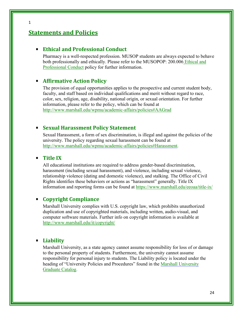# **Statements and Policies**

## **Ethical and Professional Conduct**

Pharmacy is a well-respected profession. MUSOP students are always expected to behave both professionally and ethically. Please refer to the MUSOPOP: 200.006 [Ethical and](http://www.marshall.edu/pharmacy/faculty_staff/musop_policies/)  [Professional Conduct](http://www.marshall.edu/pharmacy/faculty_staff/musop_policies/) policy for further information.

## **Affirmative Action Policy**

The provision of equal opportunities applies to the prospective and current student body, faculty, and staff based on individual qualifications and merit without regard to race, color, sex, religion, age, disability, national origin, or sexual orientation. For further information, please refer to the policy, which can be found at <http://www.marshall.edu/wpmu/academic-affairs/policies#AAGrad>

#### **Sexual Harassment Policy Statement**

Sexual Harassment, a form of sex discrimination, is illegal and against the policies of the university. The policy regarding sexual harassment can be found at [http://www.marshall.edu/wpmu/academic-affairs/policies#Harassment.](http://www.marshall.edu/wpmu/academic-affairs/policies#Harassment)

## **Title IX**

All educational institutions are required to address gender-based discrimination, harassment (including sexual harassment), and violence, including sexual violence, relationship violence (dating and domestic violence), and stalking. The Office of Civil Rights identifies these behaviors or actions as "harassment" generally. Title IX information and reporting forms can be found at<https://www.marshall.edu/eeoaa/title-ix/>

## **Copyright Compliance**

Marshall University complies with U.S. copyright law, which prohibits unauthorized duplication and use of copyrighted materials, including written, audio-visual, and computer software materials. Further info on copyright information is available at <http://www.marshall.edu/it/copyright/>

#### **Liability**

Marshall University, as a state agency cannot assume responsibility for loss of or damage to the personal property of students. Furthermore, the university cannot assume responsibility for personal injury to students. The Liability policy is located under the heading of "University Policies and Procedures" found in the Marshall University [Graduate Catalog.](http://www.marshall.edu/catalog/Graduate/)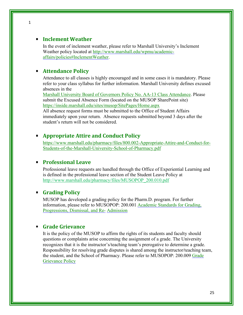## **Inclement Weather**

In the event of inclement weather, please refer to Marshall University's Inclement Weather policy located at [http://www.marshall.edu/wpmu/academic](http://www.marshall.edu/wpmu/academic-affairs/policies#InclementWeather)[affairs/policies#InclementWeather.](http://www.marshall.edu/wpmu/academic-affairs/policies#InclementWeather)

# **Attendance Policy**

Attendance to all classes is highly encouraged and in some cases it is mandatory. Please refer to your class syllabus for further information. Marshall University defines excused absences in the

[Marshall University Board of Governors Policy No. AA-13 Class Attendance. P](http://www.marshall.edu/board/files/Policies/MUBOG%20AA-13%20Class%20Attendance.pdf)lease submit the [Excused Absence](http://www.marshall.edu/pharmacy/files/Student-Excused-Absence-Form.pdf) Form (located on the MUSOP SharePoint site) <https://inside.marshall.edu/sites/musop/SitePages/Home.aspx>

All absence request forms must be submitted to the Office of Student Affairs immediately upon your return. Absence requests submitted beyond 3 days after the student's return will not be considered.

# **Appropriate Attire and Conduct Policy**

[https://www.marshall.edu/pharmacy/files/800.002-Appropriate-Attire-and-Conduct-for-](https://www.marshall.edu/pharmacy/files/800.002-Appropriate-Attire-and-Conduct-for-Students-of-the-Marshall-University-School-of-Pharmacy.pdf)[Students-of-the-Marshall-University-School-of-Pharmacy.pdf](https://www.marshall.edu/pharmacy/files/800.002-Appropriate-Attire-and-Conduct-for-Students-of-the-Marshall-University-School-of-Pharmacy.pdf)

# **Professional Leave**

Professional leave requests are handled through the Office of Experiential Learning and is defined in the professional leave section of the Student Leave Policy at [http://www.marshall.edu/pharmacy/files/MUSOPOP\\_200.010.pdf](http://www.marshall.edu/pharmacy/files/MUSOPOP_200.010.pdf)

## **Grading Policy**

MUSOP has developed a grading policy for the Pharm.D. program. For further information, please refer to MUSOPOP: 200.001 Academic Standards for Grading, [Progressions, Dismissal, and Re-](http://www.marshall.edu/pharmacy/faculty_staff/musop_policies/) [Admission](http://www.marshall.edu/wpmu/pharmacy/faculty_staff/faculty-and-staff-policies/200-001-academic-standards-for-grading-progressions-dismissal-and-re-admission/)

## **Grade Grievance**

It is the policy of the MUSOP to affirm the rights of its students and faculty should questions or complaints arise concerning the assignment of a grade. The University recognizes that it is the instructor's/teaching team's prerogative to determine a grade. Responsibility for resolving grade disputes is shared among the instructor/teaching team, the student, and the School of Pharmacy. Please refer to MUSOPOP: 200.009 Grade [Grievance](http://www.marshall.edu/pharmacy/faculty_staff/musop_policies/) Policy